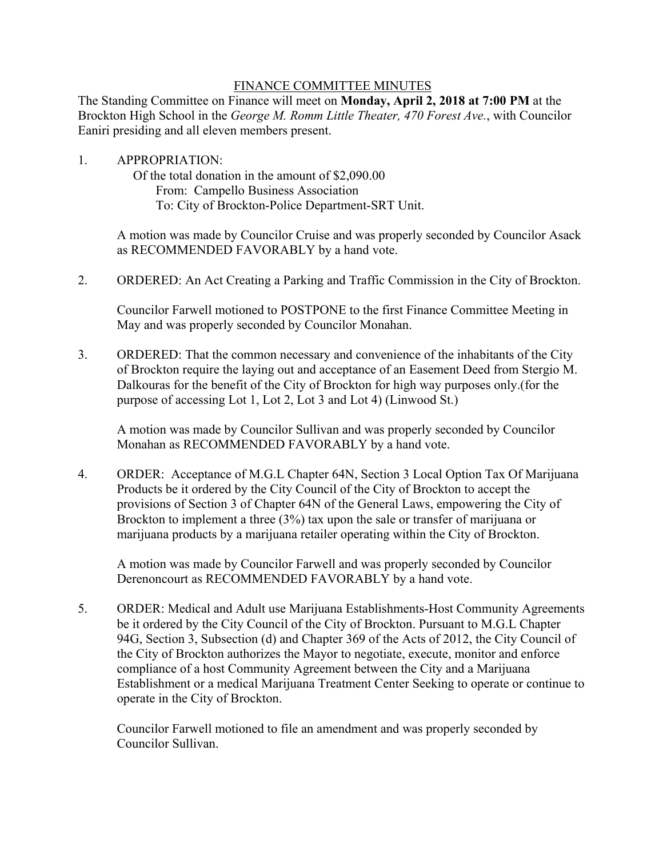## FINANCE COMMITTEE MINUTES

The Standing Committee on Finance will meet on **Monday, April 2, 2018 at 7:00 PM** at the Brockton High School in the *George M. Romm Little Theater, 470 Forest Ave.*, with Councilor Eaniri presiding and all eleven members present.

1. APPROPRIATION: Of the total donation in the amount of \$2,090.00 From: Campello Business Association To: City of Brockton-Police Department-SRT Unit.

> A motion was made by Councilor Cruise and was properly seconded by Councilor Asack as RECOMMENDED FAVORABLY by a hand vote.

2. ORDERED: An Act Creating a Parking and Traffic Commission in the City of Brockton.

Councilor Farwell motioned to POSTPONE to the first Finance Committee Meeting in May and was properly seconded by Councilor Monahan.

3. ORDERED: That the common necessary and convenience of the inhabitants of the City of Brockton require the laying out and acceptance of an Easement Deed from Stergio M. Dalkouras for the benefit of the City of Brockton for high way purposes only.(for the purpose of accessing Lot 1, Lot 2, Lot 3 and Lot 4) (Linwood St.)

A motion was made by Councilor Sullivan and was properly seconded by Councilor Monahan as RECOMMENDED FAVORABLY by a hand vote.

4. ORDER: Acceptance of M.G.L Chapter 64N, Section 3 Local Option Tax Of Marijuana Products be it ordered by the City Council of the City of Brockton to accept the provisions of Section 3 of Chapter 64N of the General Laws, empowering the City of Brockton to implement a three (3%) tax upon the sale or transfer of marijuana or marijuana products by a marijuana retailer operating within the City of Brockton.

A motion was made by Councilor Farwell and was properly seconded by Councilor Derenoncourt as RECOMMENDED FAVORABLY by a hand vote.

5. ORDER: Medical and Adult use Marijuana Establishments-Host Community Agreements be it ordered by the City Council of the City of Brockton. Pursuant to M.G.L Chapter 94G, Section 3, Subsection (d) and Chapter 369 of the Acts of 2012, the City Council of the City of Brockton authorizes the Mayor to negotiate, execute, monitor and enforce compliance of a host Community Agreement between the City and a Marijuana Establishment or a medical Marijuana Treatment Center Seeking to operate or continue to operate in the City of Brockton.

Councilor Farwell motioned to file an amendment and was properly seconded by Councilor Sullivan.